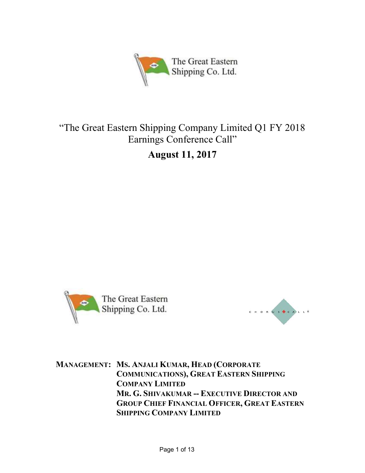

# "The Great Eastern Shipping Company Limited Q1 FY 2018 Earnings Conference Call"

August 11, 2017





MANAGEMENT: MS. ANJALI KUMAR, HEAD (CORPORATE COMMUNICATIONS), GREAT EASTERN SHIPPING COMPANY LIMITED MR. G. SHIVAKUMAR -- EXECUTIVE DIRECTOR AND GROUP CHIEF FINANCIAL OFFICER, GREAT EASTERN SHIPPING COMPANY LIMITED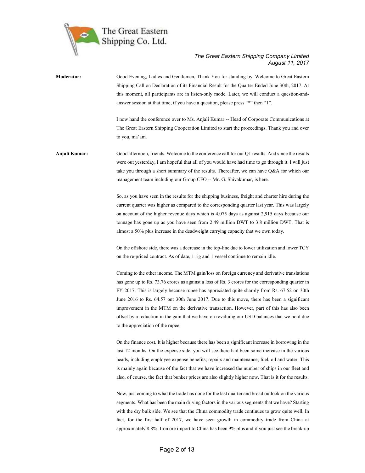

# Moderator: Good Evening, Ladies and Gentlemen, Thank You for standing-by. Welcome to Great Eastern Shipping Call on Declaration of its Financial Result for the Quarter Ended June 30th, 2017. At this moment, all participants are in listen-only mode. Later, we will conduct a question-andanswer session at that time, if you have a question, please press "\*" then "1".

I now hand the conference over to Ms. Anjali Kumar -- Head of Corporate Communications at The Great Eastern Shipping Cooperation Limited to start the proceedings. Thank you and over to you, ma'am.

Anjali Kumar: Good afternoon, friends. Welcome to the conference call for our Q1 results. And since the results were out yesterday, I am hopeful that all of you would have had time to go through it. I will just take you through a short summary of the results. Thereafter, we can have Q&A for which our management team including our Group CFO -- Mr. G. Shivakumar, is here.

> So, as you have seen in the results for the shipping business, freight and charter hire during the current quarter was higher as compared to the corresponding quarter last year. This was largely on account of the higher revenue days which is 4,075 days as against 2,915 days because our tonnage has gone up as you have seen from 2.49 million DWT to 3.8 million DWT. That is almost a 50% plus increase in the deadweight carrying capacity that we own today.

> On the offshore side, there was a decrease in the top-line due to lower utilization and lower TCY on the re-priced contract. As of date, 1 rig and 1 vessel continue to remain idle.

> Coming to the other income. The MTM gain/loss on foreign currency and derivative translations has gone up to Rs. 73.76 crores as against a loss of Rs. 3 crores for the corresponding quarter in FY 2017. This is largely because rupee has appreciated quite sharply from Rs. 67.52 on 30th June 2016 to Rs. 64.57 ont 30th June 2017. Due to this move, there has been a significant improvement in the MTM on the derivative transaction. However, part of this has also been offset by a reduction in the gain that we have on revaluing our USD balances that we hold due to the appreciation of the rupee.

> On the finance cost. It is higher because there has been a significant increase in borrowing in the last 12 months. On the expense side, you will see there had been some increase in the various heads, including employee expense benefits; repairs and maintenance; fuel, oil and water. This is mainly again because of the fact that we have increased the number of ships in our fleet and also, of course, the fact that bunker prices are also slightly higher now. That is it for the results.

> Now, just coming to what the trade has done for the last quarter and broad outlook on the various segments. What has been the main driving factors in the various segments that we have? Starting with the dry bulk side. We see that the China commodity trade continues to grow quite well. In fact, for the first-half of 2017, we have seen growth in commodity trade from China at approximately 8.8%. Iron ore import to China has been 9% plus and if you just see the break-up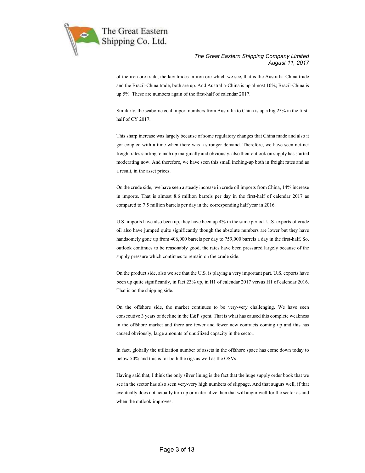

of the iron ore trade, the key trades in iron ore which we see, that is the Australia-China trade and the Brazil-China trade, both are up. And Australia-China is up almost 10%; Brazil-China is up 5%. These are numbers again of the first-half of calendar 2017.

Similarly, the seaborne coal import numbers from Australia to China is up a big 25% in the firsthalf of CY 2017.

This sharp increase was largely because of some regulatory changes that China made and also it got coupled with a time when there was a stronger demand. Therefore, we have seen net-net freight rates starting to inch up marginally and obviously, also their outlook on supply has started moderating now. And therefore, we have seen this small inching-up both in freight rates and as a result, in the asset prices.

On the crude side, we have seen a steady increase in crude oil imports from China, 14% increase in imports. That is almost 8.6 million barrels per day in the first-half of calendar 2017 as compared to 7.5 million barrels per day in the corresponding half year in 2016.

U.S. imports have also been up, they have been up 4% in the same period. U.S. exports of crude oil also have jumped quite significantly though the absolute numbers are lower but they have handsomely gone up from 406,000 barrels per day to 759,000 barrels a day in the first-half. So, outlook continues to be reasonably good, the rates have been pressured largely because of the supply pressure which continues to remain on the crude side.

On the product side, also we see that the U.S. is playing a very important part. U.S. exports have been up quite significantly, in fact 23% up, in H1 of calendar 2017 versus H1 of calendar 2016. That is on the shipping side.

On the offshore side, the market continues to be very-very challenging. We have seen consecutive 3 years of decline in the E&P spent. That is what has caused this complete weakness in the offshore market and there are fewer and fewer new contracts coming up and this has caused obviously, large amounts of unutilized capacity in the sector.

In fact, globally the utilization number of assets in the offshore space has come down today to below 50% and this is for both the rigs as well as the OSVs.

Having said that, I think the only silver lining is the fact that the huge supply order book that we see in the sector has also seen very-very high numbers of slippage. And that augurs well, if that eventually does not actually turn up or materialize then that will augur well for the sector as and when the outlook improves.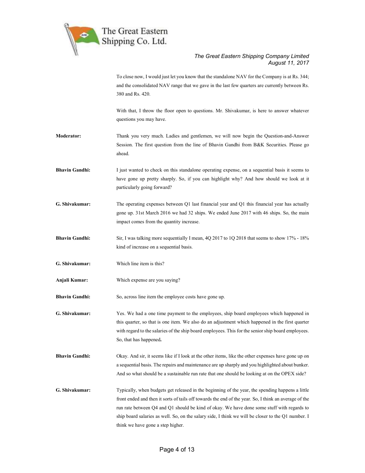

To close now, I would just let you know that the standalone NAV for the Company is at Rs. 344; and the consolidated NAV range that we gave in the last few quarters are currently between Rs. 380 and Rs. 420.

With that, I throw the floor open to questions. Mr. Shivakumar, is here to answer whatever questions you may have.

- Moderator: Thank you very much. Ladies and gentlemen, we will now begin the Question-and-Answer Session. The first question from the line of Bhavin Gandhi from B&K Securities. Please go ahead.
- Bhavin Gandhi: I just wanted to check on this standalone operating expense, on a sequential basis it seems to have gone up pretty sharply. So, if you can highlight why? And how should we look at it particularly going forward?
- G. Shivakumar: The operating expenses between Q1 last financial year and Q1 this financial year has actually gone up. 31st March 2016 we had 32 ships. We ended June 2017 with 46 ships. So, the main impact comes from the quantity increase.
- Bhavin Gandhi: Sir, I was talking more sequentially I mean, 4Q 2017 to 1Q 2018 that seems to show 17% 18% kind of increase on a sequential basis.
- G. Shivakumar: Which line item is this?
- Anjali Kumar: Which expense are you saying?
- Bhavin Gandhi: So, across line item the employee costs have gone up.

G. Shivakumar: Yes. We had a one time payment to the employees, ship board employees which happened in this quarter, so that is one item. We also do an adjustment which happened in the first quarter with regard to the salaries of the ship board employees. This for the senior ship board employees. So, that has happened.

- Bhavin Gandhi: Okay. And sir, it seems like if I look at the other items, like the other expenses have gone up on a sequential basis. The repairs and maintenance are up sharply and you highlighted about bunker. And so what should be a sustainable run rate that one should be looking at on the OPEX side?
- G. Shivakumar: Typically, when budgets get released in the beginning of the year, the spending happens a little front ended and then it sorts of tails off towards the end of the year. So, I think an average of the run rate between Q4 and Q1 should be kind of okay. We have done some stuff with regards to ship board salaries as well. So, on the salary side, I think we will be closer to the Q1 number. I think we have gone a step higher.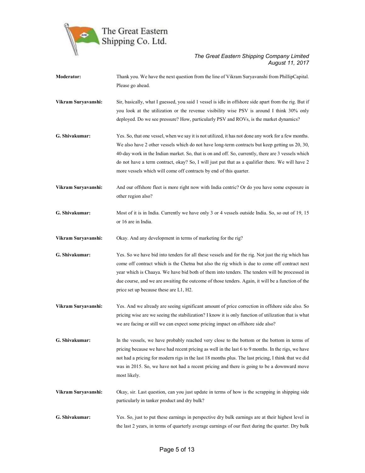

| <b>Moderator:</b>   | Thank you. We have the next question from the line of Vikram Suryavanshi from PhillipCapital.              |
|---------------------|------------------------------------------------------------------------------------------------------------|
|                     | Please go ahead.                                                                                           |
| Vikram Suryavanshi: | Sir, basically, what I guessed, you said 1 vessel is idle in offshore side apart from the rig. But if      |
|                     | you look at the utilization or the revenue visibility wise PSV is around I think 30% only                  |
|                     | deployed. Do we see pressure? How, particularly PSV and ROVs, is the market dynamics?                      |
|                     |                                                                                                            |
| G. Shivakumar:      | Yes. So, that one vessel, when we say it is not utilized, it has not done any work for a few months.       |
|                     | We also have 2 other vessels which do not have long-term contracts but keep getting us 20, 30,             |
|                     | 40-day work in the Indian market. So, that is on and off. So, currently, there are 3 vessels which         |
|                     | do not have a term contract, okay? So, I will just put that as a qualifier there. We will have 2           |
|                     | more vessels which will come off contracts by end of this quarter.                                         |
| Vikram Suryavanshi: | And our offshore fleet is more right now with India centric? Or do you have some exposure in               |
|                     | other region also?                                                                                         |
|                     |                                                                                                            |
| G. Shivakumar:      | Most of it is in India. Currently we have only 3 or 4 vessels outside India. So, so out of 19, 15          |
|                     | or 16 are in India.                                                                                        |
| Vikram Suryavanshi: | Okay. And any development in terms of marketing for the rig?                                               |
| G. Shivakumar:      | Yes. So we have bid into tenders for all these vessels and for the rig. Not just the rig which has         |
|                     | come off contract which is the Chetna but also the rig which is due to come off contract next              |
|                     | year which is Chaaya. We have bid both of them into tenders. The tenders will be processed in              |
|                     | due course, and we are awaiting the outcome of those tenders. Again, it will be a function of the          |
|                     | price set up because these are L1, H2.                                                                     |
| Vikram Suryavanshi: | Yes. And we already are seeing significant amount of price correction in offshore side also. So            |
|                     | pricing wise are we seeing the stabilization? I know it is only function of utilization that is what       |
|                     | we are facing or still we can expect some pricing impact on offshore side also?                            |
| G. Shivakumar:      | In the vessels, we have probably reached very close to the bottom or the bottom in terms of                |
|                     | pricing because we have had recent pricing as well in the last 6 to 9 months. In the rigs, we have         |
|                     | not had a pricing for modern rigs in the last 18 months plus. The last pricing, I think that we did        |
|                     |                                                                                                            |
|                     | was in 2015. So, we have not had a recent pricing and there is going to be a downward move<br>most likely. |
|                     |                                                                                                            |
| Vikram Suryavanshi: | Okay, sir. Last question, can you just update in terms of how is the scrapping in shipping side            |
|                     | particularly in tanker product and dry bulk?                                                               |
| G. Shivakumar:      | Yes. So, just to put these earnings in perspective dry bulk earnings are at their highest level in         |
|                     | the last 2 years, in terms of quarterly average earnings of our fleet during the quarter. Dry bulk         |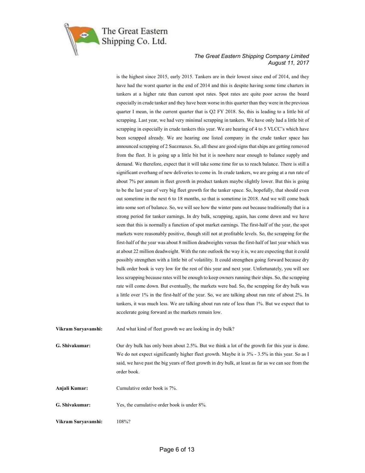

is the highest since 2015, early 2015. Tankers are in their lowest since end of 2014, and they have had the worst quarter in the end of 2014 and this is despite having some time charters in tankers at a higher rate than current spot rates. Spot rates are quite poor across the board especially in crude tanker and they have been worse in this quarter than they were in the previous quarter I mean, in the current quarter that is Q2 FY 2018. So, this is leading to a little bit of scrapping. Last year, we had very minimal scrapping in tankers. We have only had a little bit of scrapping in especially in crude tankers this year. We are hearing of 4 to 5 VLCC's which have been scrapped already. We are hearing one listed company in the crude tanker space has announced scrapping of 2 Suezmaxes. So, all these are good signs that ships are getting removed from the fleet. It is going up a little bit but it is nowhere near enough to balance supply and demand. We therefore, expect that it will take some time for us to reach balance. There is still a significant overhang of new deliveries to come in. In crude tankers, we are going at a run rate of about 7% per annum in fleet growth in product tankers maybe slightly lower. But this is going to be the last year of very big fleet growth for the tanker space. So, hopefully, that should even out sometime in the next 6 to 18 months, so that is sometime in 2018. And we will come back into some sort of balance. So, we will see how the winter pans out because traditionally that is a strong period for tanker earnings. In dry bulk, scrapping, again, has come down and we have seen that this is normally a function of spot market earnings. The first-half of the year, the spot markets were reasonably positive, though still not at profitable levels. So, the scrapping for the first-half of the year was about 8 million deadweights versus the first-half of last year which was at about 22 million deadweight. With the rate outlook the way it is, we are expecting that it could possibly strengthen with a little bit of volatility. It could strengthen going forward because dry bulk order book is very low for the rest of this year and next year. Unfortunately, you will see less scrapping because rates will be enough to keep owners running their ships. So, the scrapping rate will come down. But eventually, the markets were bad. So, the scrapping for dry bulk was a little over 1% in the first-half of the year. So, we are talking about run rate of about 2%. In tankers, it was much less. We are talking about run rate of less than 1%. But we expect that to accelerate going forward as the markets remain low.

Vikram Suryavanshi: And what kind of fleet growth we are looking in dry bulk?

G. Shivakumar: Our dry bulk has only been about 2.5%. But we think a lot of the growth for this year is done. We do not expect significantly higher fleet growth. Maybe it is  $3\%$  - 3.5% in this year. So as I said, we have past the big years of fleet growth in dry bulk, at least as far as we can see from the order book.

Anjali Kumar: Cumulative order book is 7%.

G. Shivakumar: Yes, the cumulative order book is under 8%.

Vikram Suryavanshi: 108%?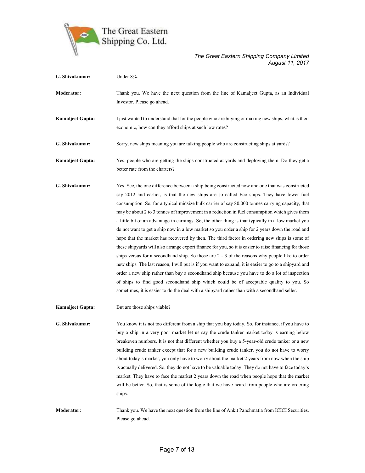

| G. Shivakumar:          | Under 8%.                                                                                                                                                                                                                                                                                                                                                                                                                                                                                                                                                                                                                                                                                                                                                                                                                                                                                                                                                                                                                                                                                                                                                                                                                                                                                                                    |
|-------------------------|------------------------------------------------------------------------------------------------------------------------------------------------------------------------------------------------------------------------------------------------------------------------------------------------------------------------------------------------------------------------------------------------------------------------------------------------------------------------------------------------------------------------------------------------------------------------------------------------------------------------------------------------------------------------------------------------------------------------------------------------------------------------------------------------------------------------------------------------------------------------------------------------------------------------------------------------------------------------------------------------------------------------------------------------------------------------------------------------------------------------------------------------------------------------------------------------------------------------------------------------------------------------------------------------------------------------------|
| <b>Moderator:</b>       | Thank you. We have the next question from the line of Kamaljeet Gupta, as an Individual<br>Investor. Please go ahead.                                                                                                                                                                                                                                                                                                                                                                                                                                                                                                                                                                                                                                                                                                                                                                                                                                                                                                                                                                                                                                                                                                                                                                                                        |
| <b>Kamaljeet Gupta:</b> | I just wanted to understand that for the people who are buying or making new ships, what is their<br>economic, how can they afford ships at such low rates?                                                                                                                                                                                                                                                                                                                                                                                                                                                                                                                                                                                                                                                                                                                                                                                                                                                                                                                                                                                                                                                                                                                                                                  |
| G. Shivakumar:          | Sorry, new ships meaning you are talking people who are constructing ships at yards?                                                                                                                                                                                                                                                                                                                                                                                                                                                                                                                                                                                                                                                                                                                                                                                                                                                                                                                                                                                                                                                                                                                                                                                                                                         |
| <b>Kamaljeet Gupta:</b> | Yes, people who are getting the ships constructed at yards and deploying them. Do they get a<br>better rate from the charters?                                                                                                                                                                                                                                                                                                                                                                                                                                                                                                                                                                                                                                                                                                                                                                                                                                                                                                                                                                                                                                                                                                                                                                                               |
| G. Shivakumar:          | Yes. See, the one difference between a ship being constructed now and one that was constructed<br>say 2012 and earlier, is that the new ships are so called Eco ships. They have lower fuel<br>consumption. So, for a typical midsize bulk carrier of say 80,000 tonnes carrying capacity, that<br>may be about 2 to 3 tonnes of improvement in a reduction in fuel consumption which gives them<br>a little bit of an advantage in earnings. So, the other thing is that typically in a low market you<br>do not want to get a ship now in a low market so you order a ship for 2 years down the road and<br>hope that the market has recovered by then. The third factor in ordering new ships is some of<br>these shipyards will also arrange export finance for you, so it is easier to raise financing for those<br>ships versus for a secondhand ship. So those are 2 - 3 of the reasons why people like to order<br>new ships. The last reason, I will put is if you want to expand, it is easier to go to a shipyard and<br>order a new ship rather than buy a second hand ship because you have to do a lot of inspection<br>of ships to find good secondhand ship which could be of acceptable quality to you. So<br>sometimes, it is easier to do the deal with a shipyard rather than with a second hand seller. |
| <b>Kamaljeet Gupta:</b> | But are those ships viable?                                                                                                                                                                                                                                                                                                                                                                                                                                                                                                                                                                                                                                                                                                                                                                                                                                                                                                                                                                                                                                                                                                                                                                                                                                                                                                  |
| G. Shivakumar:          | You know it is not too different from a ship that you buy today. So, for instance, if you have to<br>buy a ship in a very poor market let us say the crude tanker market today is earning below<br>breakeven numbers. It is not that different whether you buy a 5-year-old crude tanker or a new<br>building crude tanker except that for a new building crude tanker, you do not have to worry<br>about today's market, you only have to worry about the market 2 years from now when the ship<br>is actually delivered. So, they do not have to be valuable today. They do not have to face today's<br>market. They have to face the market 2 years down the road when people hope that the market<br>will be better. So, that is some of the logic that we have heard from people who are ordering<br>ships.                                                                                                                                                                                                                                                                                                                                                                                                                                                                                                             |
| <b>Moderator:</b>       | Thank you. We have the next question from the line of Ankit Panchmatia from ICICI Securities.<br>Please go ahead.                                                                                                                                                                                                                                                                                                                                                                                                                                                                                                                                                                                                                                                                                                                                                                                                                                                                                                                                                                                                                                                                                                                                                                                                            |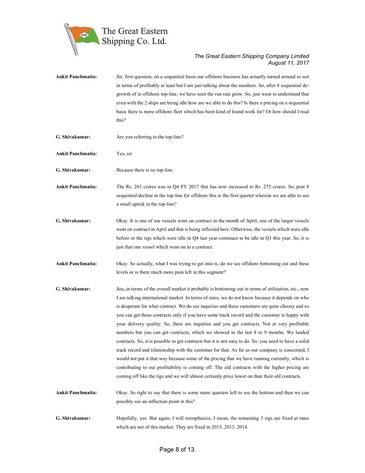

Ankit Panchmatia: Sir, first question, on a sequential basis our offshore business has actually turned around so not in terms of profitably at least but I am just talking about the numbers. So, after 8 sequential degrowth of in offshore top-line, we have seen the run rate grow. So, just want to understand that even with the 2 ships are being idle how are we able to do this? Is there a pricing on a sequential basis there is more offshore fleet which has been kind of found work for? Or how should I read this? G. Shivakumar: Are you referring to the top-line? Ankit Panchmatia: Yes, sir. G. Shivakumar: Because there is no top-line. Ankit Panchmatia: The Rs. 261 crores was in Q4 FY 2017 that has now increased to Rs. 275 crores. So, post 8 sequential decline in the top-line for offshore this is the first quarter wherein we are able to see a small uptick in the top-line? G. Shivakumar: Okay. It is one of our vessels went on contract in the month of April, one of the larger vessels went on contract in April and that is being reflected here. Otherwise, the vessels which were idle before or the rigs which were idle in Q4 last year continues to be idle in Q1 this year. So, it is just that one vessel which went on to a contract. Ankit Panchmatia: Okay. So actually, what I was trying to get into is, do we see offshore bottoming out and these levels or is there much more pain left in this segment? G. Shivakumar: See, in terms of the overall market it probably is bottoming out in terms of utilization, etc., now I am talking international market. In terms of rates, we do not know because it depends on who is desperate for what contract. We do see inquiries and these customers are quite choosy and so you can get these contracts only if you have some track record and the customer is happy with your delivery quality. So, there are inquiries and you get contracts. Not at very profitable numbers but you can get contracts, which we showed in the last 8 to 9 months. We landed contracts. So, it is possible to get contracts but it is not easy to do. So, you need to have a solid track record and relationship with the customer for that. As far as our company is concerned, I would not put it that way because some of the pricing that we have running currently, which is contributing to our profitability is coming off. The old contracts with the higher pricing are coming off like the rigs and we will almost certainly price lower on than their old contracts. Ankit Panchmatia: Okay. So right to say that there is some more quarters left to see the bottom and then we can possibly see an inflection point in this? G. Shivakumar: Hopefully, yes. But again, I will reemphasize, I mean, the remaining 3 rigs are fixed at rates which are not of this market. They are fixed in 2015, 2013, 2014.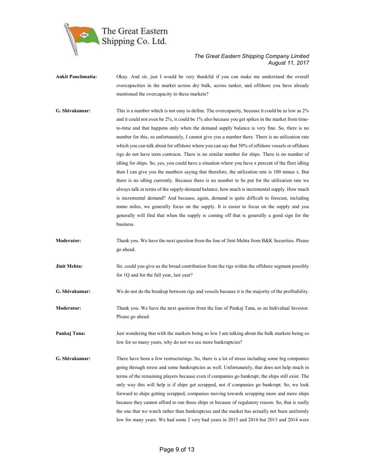

Ankit Panchmatia: Okay. And sir, just I would be very thankful if you can make me understand the overall overcapacities in the market across dry bulk, across tanker, and offshore you have already mentioned the overcapacity in these markets? G. Shivakumar: This is a number which is not easy to define. The overcapacity, because it could be as low as 2% and it could not even be 2%, it could be 1% also because you get spikes in the market from timeto-time and that happens only when the demand supply balance is very fine. So, there is no

number for this, so unfortunately, I cannot give you a number there. There is no utilization rate which you can talk about for offshore where you can say that 50% of offshore vessels or offshore rigs do not have term contracts. There is no similar number for ships. There is no number of idling for ships. So, yes, you could have a situation where you have x percent of the fleet idling then I can give you the numbers saying that therefore, the utilization rate is 100 minus x. But there is no idling currently. Because there is no number to be put for the utilization rate we always talk in terms of the supply-demand balance, how much is incremental supply. How much is incremental demand? And because, again, demand is quite difficult to forecast, including tonne miles, we generally focus on the supply. It is easier to focus on the supply and you generally will find that when the supply is coming off that is generally a good sign for the business.

Moderator: Thank you. We have the next question from the line of Jinit Mehta from B&K Securities. Please go ahead.

**Jinit Mehta:** Sir, could you give us the broad contribution from the rigs within the offshore segment possibly for 1Q and for the full year, last year?

G. Shivakumar: We do not do the breakup between rigs and vessels because it is the majority of the profitability.

Moderator: Thank you. We have the next question from the line of Pankaj Tana, as an Individual Investor. Please go ahead.

Pankaj Tana: Just wondering that with the markets being so low I am talking about the bulk markets being so low for so many years, why do not we see more bankruptcies?

G. Shivakumar: There have been a few restructurings. So, there is a lot of stress including some big companies going through stress and some bankruptcies as well. Unfortunately, that does not help much in terms of the remaining players because even if companies go bankrupt, the ships still exist. The only way this will help is if ships get scrapped, not if companies go bankrupt. So, we look forward to ships getting scrapped, companies moving towards scrapping more and more ships because they cannot afford to run those ships or because of regulatory reason. So, that is really the one that we watch rather than bankruptcies and the market has actually not been uniformly low for many years. We had some 2 very bad years in 2015 and 2016 but 2013 and 2014 were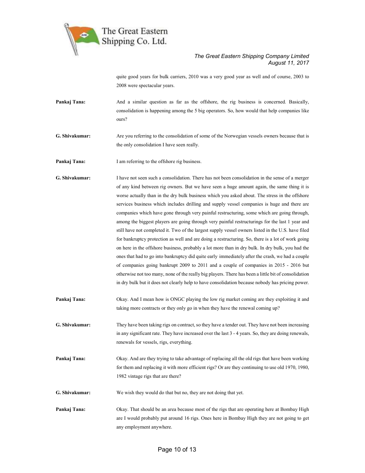

quite good years for bulk carriers, 2010 was a very good year as well and of course, 2003 to 2008 were spectacular years.

- Pankaj Tana: And a similar question as far as the offshore, the rig business is concerned. Basically, consolidation is happening among the 5 big operators. So, how would that help companies like ours?
- G. Shivakumar: Are you referring to the consolidation of some of the Norwegian vessels owners because that is the only consolidation I have seen really.
- Pankaj Tana: I am referring to the offshore rig business.
- G. Shivakumar: I have not seen such a consolidation. There has not been consolidation in the sense of a merger of any kind between rig owners. But we have seen a huge amount again, the same thing it is worse actually than in the dry bulk business which you asked about. The stress in the offshore services business which includes drilling and supply vessel companies is huge and there are companies which have gone through very painful restructuring, some which are going through, among the biggest players are going through very painful restructurings for the last 1 year and still have not completed it. Two of the largest supply vessel owners listed in the U.S. have filed for bankruptcy protection as well and are doing a restructuring. So, there is a lot of work going on here in the offshore business, probably a lot more than in dry bulk. In dry bulk, you had the ones that had to go into bankruptcy did quite early immediately after the crash, we had a couple of companies going bankrupt 2009 to 2011 and a couple of companies in 2015 - 2016 but otherwise not too many, none of the really big players. There has been a little bit of consolidation in dry bulk but it does not clearly help to have consolidation because nobody has pricing power.
- Pankaj Tana: Okay. And I mean how is ONGC playing the low rig market coming are they exploiting it and taking more contracts or they only go in when they have the renewal coming up?
- G. Shivakumar: They have been taking rigs on contract, so they have a tender out. They have not been increasing in any significant rate. They have increased over the last 3 - 4 years. So, they are doing renewals, renewals for vessels, rigs, everything.
- Pankaj Tana: Okay. And are they trying to take advantage of replacing all the old rigs that have been working for them and replacing it with more efficient rigs? Or are they continuing to use old 1970, 1980, 1982 vintage rigs that are there?
- G. Shivakumar: We wish they would do that but no, they are not doing that yet.
- Pankaj Tana: Okay. That should be an area because most of the rigs that are operating here at Bombay High are I would probably put around 16 rigs. Ones here in Bombay High they are not going to get any employment anywhere.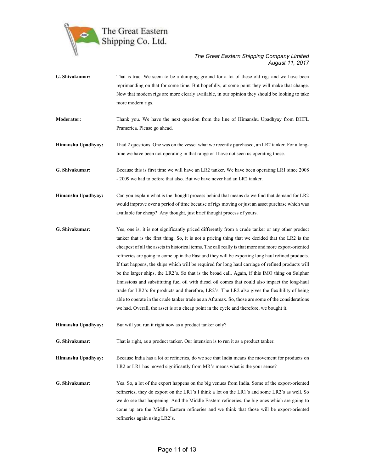

- G. Shivakumar: That is true. We seem to be a dumping ground for a lot of these old rigs and we have been reprimanding on that for some time. But hopefully, at some point they will make that change. Now that modern rigs are more clearly available, in our opinion they should be looking to take more modern rigs.
- Moderator: Thank you. We have the next question from the line of Himanshu Upadhyay from DHFL Pramerica. Please go ahead.
- Himanshu Upadhyay: I had 2 questions. One was on the vessel what we recently purchased, an LR2 tanker. For a longtime we have been not operating in that range or I have not seen us operating those.
- G. Shivakumar: Because this is first time we will have an LR2 tanker. We have been operating LR1 since 2008 - 2009 we had to before that also. But we have never had an LR2 tanker.
- Himanshu Upadhyay: Can you explain what is the thought process behind that means do we find that demand for LR2 would improve over a period of time because of rigs moving or just an asset purchase which was available for cheap? Any thought, just brief thought process of yours.
- G. Shivakumar: Yes, one is, it is not significantly priced differently from a crude tanker or any other product tanker that is the first thing. So, it is not a pricing thing that we decided that the LR2 is the cheapest of all the assets in historical terms. The call really is that more and more export-oriented refineries are going to come up in the East and they will be exporting long haul refined products. If that happens, the ships which will be required for long haul carriage of refined products will be the larger ships, the LR2's. So that is the broad call. Again, if this IMO thing on Sulphur Emissions and substituting fuel oil with diesel oil comes that could also impact the long-haul trade for LR2's for products and therefore, LR2's. The LR2 also gives the flexibility of being able to operate in the crude tanker trade as an Aframax. So, those are some of the considerations we had. Overall, the asset is at a cheap point in the cycle and therefore, we bought it.
- Himanshu Upadhyay: But will you run it right now as a product tanker only?
- G. Shivakumar: That is right, as a product tanker. Our intension is to run it as a product tanker.
- Himanshu Upadhyay: Because India has a lot of refineries, do we see that India means the movement for products on LR2 or LR1 has moved significantly from MR's means what is the your sense?
- G. Shivakumar: Yes. So, a lot of the export happens on the big venues from India. Some of the export-oriented refineries, they do export on the LR1's I think a lot on the LR1's and some LR2's as well. So we do see that happening. And the Middle Eastern refineries, the big ones which are going to come up are the Middle Eastern refineries and we think that those will be export-oriented refineries again using LR2's.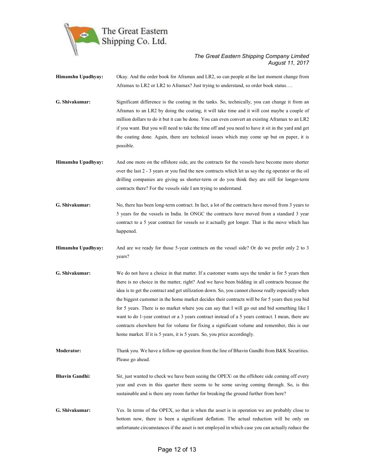

Himanshu Upadhyay: Okay. And the order book for Aframax and LR2, so can people at the last moment change from Aframax to LR2 or LR2 to Aframax? Just trying to understand, so order book status….

G. Shivakumar: Significant difference is the coating in the tanks. So, technically, you can change it from an Aframax to an LR2 by doing the coating, it will take time and it will cost maybe a couple of million dollars to do it but it can be done. You can even convert an existing Aframax to an LR2 if you want. But you will need to take the time off and you need to have it sit in the yard and get the coating done. Again, there are technical issues which may come up but on paper, it is possible.

Himanshu Upadhyay: And one more on the offshore side, are the contracts for the vessels have become more shorter over the last 2 - 3 years or you find the new contracts which let us say the rig operator or the oil drilling companies are giving us shorter-term or do you think they are still for longer-term contracts there? For the vessels side I am trying to understand.

G. Shivakumar: No, there has been long-term contract. In fact, a lot of the contracts have moved from 3 years to 5 years for the vessels in India. In ONGC the contracts have moved from a standard 3 year contract to a 5 year contract for vessels so it actually got longer. That is the move which has happened.

Himanshu Upadhyay: And are we ready for those 5-year contracts on the vessel side? Or do we prefer only 2 to 3 years?

G. Shivakumar: We do not have a choice in that matter. If a customer wants says the tender is for 5 years then there is no choice in the matter, right? And we have been bidding in all contracts because the idea is to get the contract and get utilization down. So, you cannot choose really especially when the biggest customer in the home market decides their contracts will be for 5 years then you bid for 5 years. There is no market where you can say that I will go out and bid something like I want to do 1-year contract or a 3 years contract instead of a 5 years contract. I mean, there are contracts elsewhere but for volume for fixing a significant volume and remember, this is our home market. If it is 5 years, it is 5 years. So, you price accordingly.

Moderator: Thank you. We have a follow-up question from the line of Bhavin Gandhi from B&K Securities. Please go ahead.

- Bhavin Gandhi: Sir, just wanted to check we have been seeing the OPEX\ on the offshore side coming off every year and even in this quarter there seems to be some saving coming through. So, is this sustainable and is there any room further for breaking the ground further from here?
- G. Shivakumar: Yes. In terms of the OPEX, so that is when the asset is in operation we are probably close to bottom now, there is been a significant deflation. The actual reduction will be only on unfortunate circumstances if the asset is not employed in which case you can actually reduce the